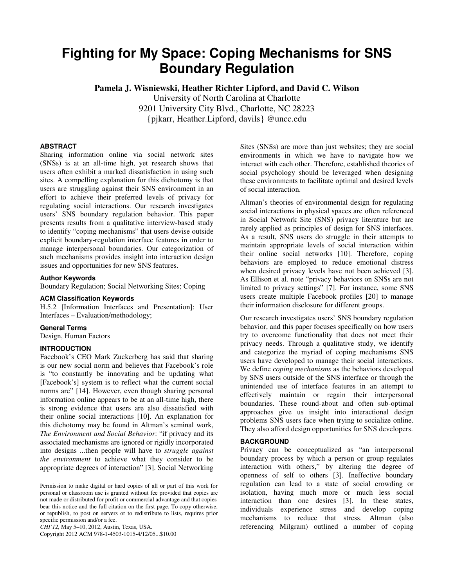# **Fighting for My Space: Coping Mechanisms for SNS Boundary Regulation**

**Pamela J. Wisniewski, Heather Richter Lipford, and David C. Wilson**  University of North Carolina at Charlotte 9201 University City Blvd., Charlotte, NC 28223 {pjkarr, Heather.Lipford, davils} @uncc.edu

## **ABSTRACT**

Sharing information online via social network sites (SNSs) is at an all-time high, yet research shows that users often exhibit a marked dissatisfaction in using such sites. A compelling explanation for this dichotomy is that users are struggling against their SNS environment in an effort to achieve their preferred levels of privacy for regulating social interactions. Our research investigates users' SNS boundary regulation behavior. This paper presents results from a qualitative interview-based study to identify "coping mechanisms" that users devise outside explicit boundary-regulation interface features in order to manage interpersonal boundaries. Our categorization of such mechanisms provides insight into interaction design issues and opportunities for new SNS features.

## **Author Keywords**

Boundary Regulation; Social Networking Sites; Coping

## **ACM Classification Keywords**

H.5.2 [Information Interfaces and Presentation]: User Interfaces – Evaluation/methodology;

#### **General Terms**

Design, Human Factors

# **INTRODUCTION**

Facebook's CEO Mark Zuckerberg has said that sharing is our new social norm and believes that Facebook's role is "to constantly be innovating and be updating what [Facebook's] system is to reflect what the current social norms are" [14]. However, even though sharing personal information online appears to be at an all-time high, there is strong evidence that users are also dissatisfied with their online social interactions [10]. An explanation for this dichotomy may be found in Altman's seminal work, *The Environment and Social Behavior*: "if privacy and its associated mechanisms are ignored or rigidly incorporated into designs ...then people will have to *struggle against the environment* to achieve what they consider to be appropriate degrees of interaction" [3]. Social Networking

*CHI'12,* May 5–10, 2012, Austin, Texas, USA.

Copyright 2012 ACM 978-1-4503-1015-4/12/05...\$10.00

Sites (SNSs) are more than just websites; they are social environments in which we have to navigate how we interact with each other. Therefore, established theories of social psychology should be leveraged when designing these environments to facilitate optimal and desired levels of social interaction.

Altman's theories of environmental design for regulating social interactions in physical spaces are often referenced in Social Network Site (SNS) privacy literature but are rarely applied as principles of design for SNS interfaces. As a result, SNS users do struggle in their attempts to maintain appropriate levels of social interaction within their online social networks [10]. Therefore, coping behaviors are employed to reduce emotional distress when desired privacy levels have not been achieved [3]. As Ellison et al. note "privacy behaviors on SNSs are not limited to privacy settings" [7]. For instance, some SNS users create multiple Facebook profiles [20] to manage their information disclosure for different groups.

Our research investigates users' SNS boundary regulation behavior, and this paper focuses specifically on how users try to overcome functionality that does not meet their privacy needs. Through a qualitative study, we identify and categorize the myriad of coping mechanisms SNS users have developed to manage their social interactions. We define *coping mechanisms* as the behaviors developed by SNS users outside of the SNS interface or through the unintended use of interface features in an attempt to effectively maintain or regain their interpersonal boundaries. These round-about and often sub-optimal approaches give us insight into interactional design problems SNS users face when trying to socialize online. They also afford design opportunities for SNS developers.

# **BACKGROUND**

Privacy can be conceptualized as "an interpersonal boundary process by which a person or group regulates interaction with others," by altering the degree of openness of self to others [3]. Ineffective boundary regulation can lead to a state of social crowding or isolation, having much more or much less social interaction than one desires [3]. In these states, individuals experience stress and develop coping mechanisms to reduce that stress. Altman (also referencing Milgram) outlined a number of coping

Permission to make digital or hard copies of all or part of this work for personal or classroom use is granted without fee provided that copies are not made or distributed for profit or commercial advantage and that copies bear this notice and the full citation on the first page. To copy otherwise, or republish, to post on servers or to redistribute to lists, requires prior specific permission and/or a fee.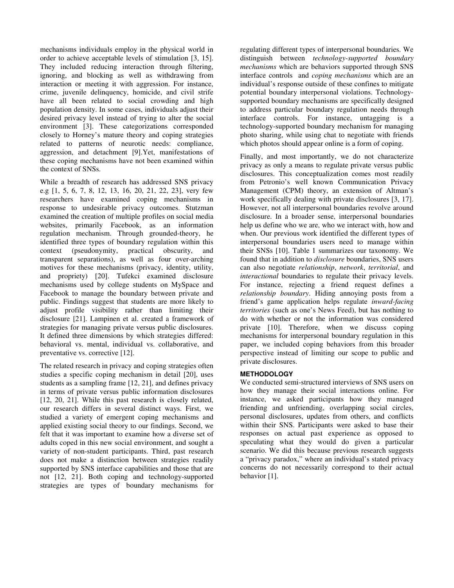mechanisms individuals employ in the physical world in order to achieve acceptable levels of stimulation [3, 15]. They included reducing interaction through filtering, ignoring, and blocking as well as withdrawing from interaction or meeting it with aggression. For instance, crime, juvenile delinquency, homicide, and civil strife have all been related to social crowding and high population density. In some cases, individuals adjust their desired privacy level instead of trying to alter the social environment [3]. These categorizations corresponded closely to Horney's mature theory and coping strategies related to patterns of neurotic needs: compliance, aggression, and detachment [9].Yet, manifestations of these coping mechanisms have not been examined within the context of SNSs.

While a breadth of research has addressed SNS privacy e.g [1, 5, 6, 7, 8, 12, 13, 16, 20, 21, 22, 23], very few researchers have examined coping mechanisms in response to undesirable privacy outcomes. Stutzman examined the creation of multiple profiles on social media websites, primarily Facebook, as an information regulation mechanism. Through grounded-theory, he identified three types of boundary regulation within this context (pseudonymity, practical obscurity, and transparent separations), as well as four over-arching motives for these mechanisms (privacy, identity, utility, and propriety) [20]. Tufekci examined disclosure mechanisms used by college students on MySpace and Facebook to manage the boundary between private and public. Findings suggest that students are more likely to adjust profile visibility rather than limiting their disclosure [21]. Lampinen et al. created a framework of strategies for managing private versus public disclosures. It defined three dimensions by which strategies differed: behavioral vs. mental, individual vs. collaborative, and preventative vs. corrective [12].

The related research in privacy and coping strategies often studies a specific coping mechanism in detail [20], uses students as a sampling frame [12, 21], and defines privacy in terms of private versus public information disclosures [12, 20, 21]. While this past research is closely related, our research differs in several distinct ways. First, we studied a variety of emergent coping mechanisms and applied existing social theory to our findings. Second, we felt that it was important to examine how a diverse set of adults coped in this new social environment, and sought a variety of non-student participants. Third, past research does not make a distinction between strategies readily supported by SNS interface capabilities and those that are not [12, 21]. Both coping and technology-supported strategies are types of boundary mechanisms for

regulating different types of interpersonal boundaries. We distinguish between *technology-supported boundary mechanisms* which are behaviors supported through SNS interface controls and *coping mechanisms* which are an individual's response outside of these confines to mitigate potential boundary interpersonal violations. Technologysupported boundary mechanisms are specifically designed to address particular boundary regulation needs through interface controls. For instance, untagging is a technology-supported boundary mechanism for managing photo sharing, while using chat to negotiate with friends which photos should appear online is a form of coping.

Finally, and most importantly, we do not characterize privacy as only a means to regulate private versus public disclosures. This conceptualization comes most readily from Petronio's well known Communication Privacy Management (CPM) theory, an extension of Altman's work specifically dealing with private disclosures [3, 17]. However, not all interpersonal boundaries revolve around disclosure. In a broader sense, interpersonal boundaries help us define who we are, who we interact with, how and when. Our previous work identified the different types of interpersonal boundaries users need to manage within their SNSs [10]. Table 1 summarizes our taxonomy. We found that in addition to *disclosure* boundaries, SNS users can also negotiate *relationship*, *network*, *territorial*, and *interactional* boundaries to regulate their privacy levels. For instance, rejecting a friend request defines a *relationship boundary*. Hiding annoying posts from a friend's game application helps regulate *inward-facing territories* (such as one's News Feed), but has nothing to do with whether or not the information was considered private [10]. Therefore, when we discuss coping mechanisms for interpersonal boundary regulation in this paper, we included coping behaviors from this broader perspective instead of limiting our scope to public and private disclosures.

# **METHODOLOGY**

We conducted semi-structured interviews of SNS users on how they manage their social interactions online. For instance, we asked participants how they managed friending and unfriending, overlapping social circles, personal disclosures, updates from others, and conflicts within their SNS. Participants were asked to base their responses on actual past experience as opposed to speculating what they would do given a particular scenario. We did this because previous research suggests a "privacy paradox," where an individual's stated privacy concerns do not necessarily correspond to their actual behavior [1].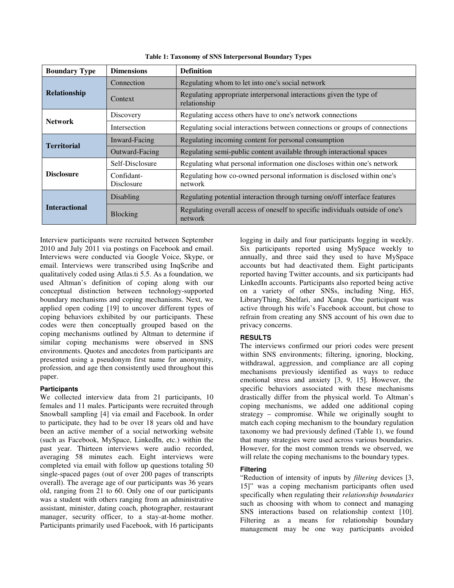| <b>Boundary Type</b> | <b>Dimensions</b>               | <b>Definition</b>                                                                        |  |
|----------------------|---------------------------------|------------------------------------------------------------------------------------------|--|
| Relationship         | Connection                      | Regulating whom to let into one's social network                                         |  |
|                      | Context                         | Regulating appropriate interpersonal interactions given the type of<br>relationship      |  |
| <b>Network</b>       | Discovery                       | Regulating access others have to one's network connections                               |  |
|                      | Intersection                    | Regulating social interactions between connections or groups of connections              |  |
| <b>Territorial</b>   | Inward-Facing                   | Regulating incoming content for personal consumption                                     |  |
|                      | Outward-Facing                  | Regulating semi-public content available through interactional spaces                    |  |
| <b>Disclosure</b>    | Self-Disclosure                 | Regulating what personal information one discloses within one's network                  |  |
|                      | Confidant-<br><b>Disclosure</b> | Regulating how co-owned personal information is disclosed within one's<br>network        |  |
| <b>Interactional</b> | Disabling                       | Regulating potential interaction through turning on/off interface features               |  |
|                      | <b>Blocking</b>                 | Regulating overall access of oneself to specific individuals outside of one's<br>network |  |

**Table 1: Taxonomy of SNS Interpersonal Boundary Types** 

Interview participants were recruited between September 2010 and July 2011 via postings on Facebook and email. Interviews were conducted via Google Voice, Skype, or email. Interviews were transcribed using InqScribe and qualitatively coded using Atlas.ti 5.5. As a foundation, we used Altman's definition of coping along with our conceptual distinction between technology-supported boundary mechanisms and coping mechanisms. Next, we applied open coding [19] to uncover different types of coping behaviors exhibited by our participants. These codes were then conceptually grouped based on the coping mechanisms outlined by Altman to determine if similar coping mechanisms were observed in SNS environments. Quotes and anecdotes from participants are presented using a pseudonym first name for anonymity, profession, and age then consistently used throughout this paper.

## **Participants**

We collected interview data from 21 participants, 10 females and 11 males. Participants were recruited through Snowball sampling [4] via email and Facebook. In order to participate, they had to be over 18 years old and have been an active member of a social networking website (such as Facebook, MySpace, LinkedIn, etc.) within the past year. Thirteen interviews were audio recorded, averaging 58 minutes each. Eight interviews were completed via email with follow up questions totaling 50 single-spaced pages (out of over 200 pages of transcripts overall). The average age of our participants was 36 years old, ranging from 21 to 60. Only one of our participants was a student with others ranging from an administrative assistant, minister, dating coach, photographer, restaurant manager, security officer, to a stay-at-home mother. Participants primarily used Facebook, with 16 participants

logging in daily and four participants logging in weekly. Six participants reported using MySpace weekly to annually, and three said they used to have MySpace accounts but had deactivated them. Eight participants reported having Twitter accounts, and six participants had LinkedIn accounts. Participants also reported being active on a variety of other SNSs, including Ning, Hi5, LibraryThing, Shelfari, and Xanga. One participant was active through his wife's Facebook account, but chose to refrain from creating any SNS account of his own due to privacy concerns.

# **RESULTS**

The interviews confirmed our priori codes were present within SNS environments; filtering, ignoring, blocking, withdrawal, aggression, and compliance are all coping mechanisms previously identified as ways to reduce emotional stress and anxiety [3, 9, 15]. However, the specific behaviors associated with these mechanisms drastically differ from the physical world. To Altman's coping mechanisms, we added one additional coping strategy – compromise. While we originally sought to match each coping mechanism to the boundary regulation taxonomy we had previously defined (Table 1), we found that many strategies were used across various boundaries. However, for the most common trends we observed, we will relate the coping mechanisms to the boundary types.

# **Filtering**

"Reduction of intensity of inputs by *filtering* devices [3, 15]" was a coping mechanism participants often used specifically when regulating their *relationship boundaries* such as choosing with whom to connect and managing SNS interactions based on relationship context [10]. Filtering as a means for relationship boundary management may be one way participants avoided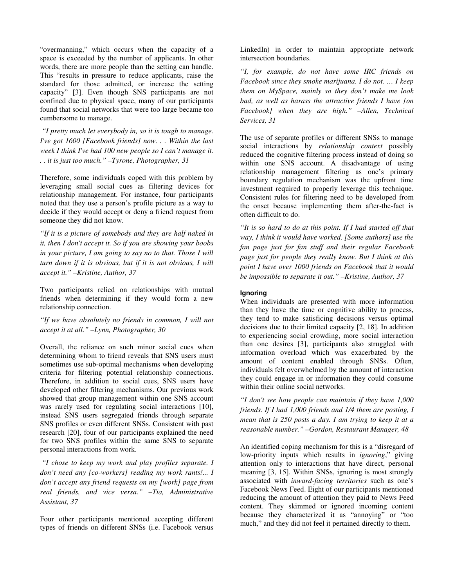"overmanning," which occurs when the capacity of a space is exceeded by the number of applicants. In other words, there are more people than the setting can handle. This "results in pressure to reduce applicants, raise the standard for those admitted, or increase the setting capacity" [3]. Even though SNS participants are not confined due to physical space, many of our participants found that social networks that were too large became too cumbersome to manage.

 *"I pretty much let everybody in, so it is tough to manage. I've got 1600 [Facebook friends] now. . . Within the last week I think I've had 100 new people so I can't manage it. . . it is just too much." –Tyrone, Photographer, 31* 

Therefore, some individuals coped with this problem by leveraging small social cues as filtering devices for relationship management. For instance, four participants noted that they use a person's profile picture as a way to decide if they would accept or deny a friend request from someone they did not know.

*"If it is a picture of somebody and they are half naked in it, then I don't accept it. So if you are showing your boobs in your picture, I am going to say no to that. Those I will turn down if it is obvious, but if it is not obvious, I will accept it." –Kristine, Author, 37* 

Two participants relied on relationships with mutual friends when determining if they would form a new relationship connection.

*"If we have absolutely no friends in common, I will not accept it at all." –Lynn, Photographer, 30* 

Overall, the reliance on such minor social cues when determining whom to friend reveals that SNS users must sometimes use sub-optimal mechanisms when developing criteria for filtering potential relationship connections. Therefore, in addition to social cues, SNS users have developed other filtering mechanisms. Our previous work showed that group management within one SNS account was rarely used for regulating social interactions [10], instead SNS users segregated friends through separate SNS profiles or even different SNSs. Consistent with past research [20], four of our participants explained the need for two SNS profiles within the same SNS to separate personal interactions from work.

 *"I chose to keep my work and play profiles separate. I don't need any [co-workers] reading my work rants!... I don't accept any friend requests on my [work] page from real friends, and vice versa." –Tia, Administrative Assistant, 37* 

Four other participants mentioned accepting different types of friends on different SNSs (i.e. Facebook versus LinkedIn) in order to maintain appropriate network intersection boundaries.

*"I, for example, do not have some IRC friends on Facebook since they smoke marijuana. I do not. … I keep them on MySpace, mainly so they don't make me look bad, as well as harass the attractive friends I have [on Facebook] when they are high." –Allen, Technical Services, 31* 

The use of separate profiles or different SNSs to manage social interactions by *relationship context* possibly reduced the cognitive filtering process instead of doing so within one SNS account. A disadvantage of using relationship management filtering as one's primary boundary regulation mechanism was the upfront time investment required to properly leverage this technique. Consistent rules for filtering need to be developed from the onset because implementing them after-the-fact is often difficult to do.

*"It is so hard to do at this point. If I had started off that way, I think it would have worked. [Some authors] use the fan page just for fan stuff and their regular Facebook page just for people they really know. But I think at this point I have over 1000 friends on Facebook that it would be impossible to separate it out." –Kristine, Author, 37* 

## **Ignoring**

When individuals are presented with more information than they have the time or cognitive ability to process, they tend to make satisficing decisions versus optimal decisions due to their limited capacity [2, 18]. In addition to experiencing social crowding, more social interaction than one desires [3], participants also struggled with information overload which was exacerbated by the amount of content enabled through SNSs. Often, individuals felt overwhelmed by the amount of interaction they could engage in or information they could consume within their online social networks.

*"I don't see how people can maintain if they have 1,000 friends. If I had 1,000 friends and 1/4 them are posting, I mean that is 250 posts a day. I am trying to keep it at a reasonable number." –Gordon, Restaurant Manager, 48* 

An identified coping mechanism for this is a "disregard of low-priority inputs which results in *ignoring*," giving attention only to interactions that have direct, personal meaning [3, 15]. Within SNSs, ignoring is most strongly associated with *inward-facing territories* such as one's Facebook News Feed. Eight of our participants mentioned reducing the amount of attention they paid to News Feed content. They skimmed or ignored incoming content because they characterized it as "annoying" or "too much," and they did not feel it pertained directly to them.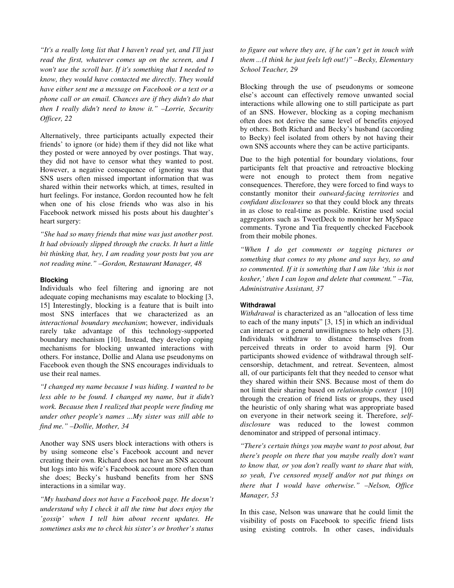*"It's a really long list that I haven't read yet, and I'll just read the first, whatever comes up on the screen, and I won't use the scroll bar. If it's something that I needed to know, they would have contacted me directly. They would have either sent me a message on Facebook or a text or a phone call or an email. Chances are if they didn't do that then I really didn't need to know it." –Lorrie, Security Officer, 22* 

Alternatively, three participants actually expected their friends' to ignore (or hide) them if they did not like what they posted or were annoyed by over postings. That way, they did not have to censor what they wanted to post. However, a negative consequence of ignoring was that SNS users often missed important information that was shared within their networks which, at times, resulted in hurt feelings. For instance, Gordon recounted how he felt when one of his close friends who was also in his Facebook network missed his posts about his daughter's heart surgery:

*"She had so many friends that mine was just another post. It had obviously slipped through the cracks. It hurt a little bit thinking that, hey, I am reading your posts but you are not reading mine." –Gordon, Restaurant Manager, 48* 

## **Blocking**

Individuals who feel filtering and ignoring are not adequate coping mechanisms may escalate to blocking [3, 15] Interestingly, blocking is a feature that is built into most SNS interfaces that we characterized as an *interactional boundary mechanism*; however, individuals rarely take advantage of this technology-supported boundary mechanism [10]. Instead, they develop coping mechanisms for blocking unwanted interactions with others. For instance, Dollie and Alana use pseudonyms on Facebook even though the SNS encourages individuals to use their real names.

*"I changed my name because I was hiding. I wanted to be less able to be found. I changed my name, but it didn't work. Because then I realized that people were finding me under other people's names ...My sister was still able to find me." –Dollie, Mother, 34* 

Another way SNS users block interactions with others is by using someone else's Facebook account and never creating their own. Richard does not have an SNS account but logs into his wife's Facebook account more often than she does; Becky's husband benefits from her SNS interactions in a similar way.

*"My husband does not have a Facebook page. He doesn't understand why I check it all the time but does enjoy the 'gossip' when I tell him about recent updates. He sometimes asks me to check his sister's or brother's status* 

*to figure out where they are, if he can't get in touch with them ...(I think he just feels left out!)" –Becky, Elementary School Teacher, 29* 

Blocking through the use of pseudonyms or someone else's account can effectively remove unwanted social interactions while allowing one to still participate as part of an SNS. However, blocking as a coping mechanism often does not derive the same level of benefits enjoyed by others. Both Richard and Becky's husband (according to Becky) feel isolated from others by not having their own SNS accounts where they can be active participants.

Due to the high potential for boundary violations, four participants felt that proactive and retroactive blocking were not enough to protect them from negative consequences. Therefore, they were forced to find ways to constantly monitor their *outward-facing territories* and *confidant disclosures* so that they could block any threats in as close to real-time as possible. Kristine used social aggregators such as TweetDeck to monitor her MySpace comments. Tyrone and Tia frequently checked Facebook from their mobile phones.

*"When I do get comments or tagging pictures or something that comes to my phone and says hey, so and so commented. If it is something that I am like 'this is not kosher,' then I can logon and delete that comment." –Tia, Administrative Assistant, 37* 

## **Withdrawal**

*Withdrawal* is characterized as an "allocation of less time to each of the many inputs" [3, 15] in which an individual can interact or a general unwillingness to help others [3]. Individuals withdraw to distance themselves from perceived threats in order to avoid harm [9]. Our participants showed evidence of withdrawal through selfcensorship, detachment, and retreat. Seventeen, almost all, of our participants felt that they needed to censor what they shared within their SNS. Because most of them do not limit their sharing based on *relationship context* [10] through the creation of friend lists or groups, they used the heuristic of only sharing what was appropriate based on everyone in their network seeing it. Therefore, *selfdisclosure* was reduced to the lowest common denominator and stripped of personal intimacy.

*"There's certain things you maybe want to post about, but there's people on there that you maybe really don't want to know that, or you don't really want to share that with, so yeah, I've censored myself and/or not put things on there that I would have otherwise." –Nelson, Office Manager, 53* 

In this case, Nelson was unaware that he could limit the visibility of posts on Facebook to specific friend lists using existing controls. In other cases, individuals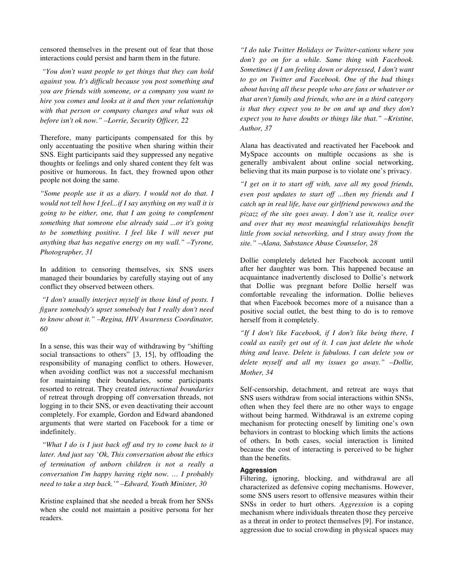censored themselves in the present out of fear that those interactions could persist and harm them in the future.

 *"You don't want people to get things that they can hold against you. It's difficult because you post something and you are friends with someone, or a company you want to hire you comes and looks at it and then your relationship with that person or company changes and what was ok before isn't ok now." –Lorrie, Security Officer, 22* 

Therefore, many participants compensated for this by only accentuating the positive when sharing within their SNS. Eight participants said they suppressed any negative thoughts or feelings and only shared content they felt was positive or humorous. In fact, they frowned upon other people not doing the same.

*"Some people use it as a diary. I would not do that. I would not tell how I feel...if I say anything on my wall it is going to be either, one, that I am going to complement something that someone else already said ...or it's going to be something positive. I feel like I will never put anything that has negative energy on my wall." –Tyrone, Photographer, 31* 

In addition to censoring themselves, six SNS users managed their boundaries by carefully staying out of any conflict they observed between others.

 *"I don't usually interject myself in those kind of posts. I figure somebody's upset somebody but I really don't need to know about it." –Regina, HIV Awareness Coordinator, 60* 

In a sense, this was their way of withdrawing by "shifting social transactions to others" [3, 15], by offloading the responsibility of managing conflict to others. However, when avoiding conflict was not a successful mechanism for maintaining their boundaries, some participants resorted to retreat. They created *interactional boundaries* of retreat through dropping off conversation threads, not logging in to their SNS, or even deactivating their account completely. For example, Gordon and Edward abandoned arguments that were started on Facebook for a time or indefinitely.

 *"What I do is I just back off and try to come back to it later. And just say 'Ok, This conversation about the ethics of termination of unborn children is not a really a conversation I'm happy having right now. … I probably need to take a step back.'" –Edward, Youth Minister, 30* 

Kristine explained that she needed a break from her SNSs when she could not maintain a positive persona for her readers.

*"I do take Twitter Holidays or Twitter-cations where you don't go on for a while. Same thing with Facebook. Sometimes if I am feeling down or depressed, I don't want to go on Twitter and Facebook. One of the bad things about having all these people who are fans or whatever or that aren't family and friends, who are in a third category is that they expect you to be on and up and they don't expect you to have doubts or things like that." –Kristine, Author, 37* 

Alana has deactivated and reactivated her Facebook and MySpace accounts on multiple occasions as she is generally ambivalent about online social networking, believing that its main purpose is to violate one's privacy.

*"I get on it to start off with, save all my good friends, even post updates to start off ...then my friends and I catch up in real life, have our girlfriend powwows and the pizazz of the site goes away. I don't use it, realize over and over that my most meaningful relationships benefit little from social networking, and I stray away from the site." –Alana, Substance Abuse Counselor, 28* 

Dollie completely deleted her Facebook account until after her daughter was born. This happened because an acquaintance inadvertently disclosed to Dollie's network that Dollie was pregnant before Dollie herself was comfortable revealing the information. Dollie believes that when Facebook becomes more of a nuisance than a positive social outlet, the best thing to do is to remove herself from it completely.

*"If I don't like Facebook, if I don't like being there, I could as easily get out of it. I can just delete the whole thing and leave. Delete is fabulous. I can delete you or delete myself and all my issues go away." –Dollie, Mother, 34* 

Self-censorship, detachment, and retreat are ways that SNS users withdraw from social interactions within SNSs, often when they feel there are no other ways to engage without being harmed. Withdrawal is an extreme coping mechanism for protecting oneself by limiting one's own behaviors in contrast to blocking which limits the actions of others. In both cases, social interaction is limited because the cost of interacting is perceived to be higher than the benefits.

# **Aggression**

Filtering, ignoring, blocking, and withdrawal are all characterized as defensive coping mechanisms. However, some SNS users resort to offensive measures within their SNSs in order to hurt others. *Aggression* is a coping mechanism where individuals threaten those they perceive as a threat in order to protect themselves [9]. For instance, aggression due to social crowding in physical spaces may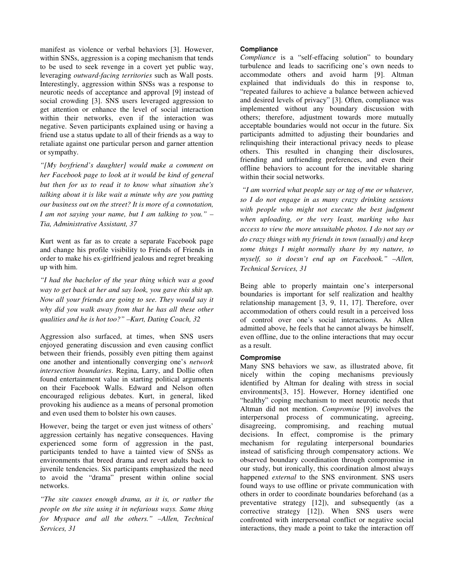manifest as violence or verbal behaviors [3]. However, within SNSs, aggression is a coping mechanism that tends to be used to seek revenge in a covert yet public way, leveraging *outward-facing territories* such as Wall posts. Interestingly, aggression within SNSs was a response to neurotic needs of acceptance and approval [9] instead of social crowding [3]. SNS users leveraged aggression to get attention or enhance the level of social interaction within their networks, even if the interaction was negative. Seven participants explained using or having a friend use a status update to all of their friends as a way to retaliate against one particular person and garner attention or sympathy.

*"[My boyfriend's daughter] would make a comment on her Facebook page to look at it would be kind of general but then for us to read it to know what situation she's talking about it is like wait a minute why are you putting our business out on the street? It is more of a connotation, I am not saying your name, but I am talking to you." – Tia, Administrative Assistant, 37* 

Kurt went as far as to create a separate Facebook page and change his profile visibility to Friends of Friends in order to make his ex-girlfriend jealous and regret breaking up with him.

*"I had the bachelor of the year thing which was a good way to get back at her and say look, you gave this shit up. Now all your friends are going to see. They would say it why did you walk away from that he has all these other qualities and he is hot too?" –Kurt, Dating Coach, 32* 

Aggression also surfaced, at times, when SNS users enjoyed generating discussion and even causing conflict between their friends, possibly even pitting them against one another and intentionally converging one's *network intersection boundaries*. Regina, Larry, and Dollie often found entertainment value in starting political arguments on their Facebook Walls. Edward and Nelson often encouraged religious debates. Kurt, in general, liked provoking his audience as a means of personal promotion and even used them to bolster his own causes.

However, being the target or even just witness of others' aggression certainly has negative consequences. Having experienced some form of aggression in the past, participants tended to have a tainted view of SNSs as environments that breed drama and revert adults back to juvenile tendencies. Six participants emphasized the need to avoid the "drama" present within online social networks.

*"The site causes enough drama, as it is, or rather the people on the site using it in nefarious ways. Same thing for Myspace and all the others." –Allen, Technical Services, 31* 

## **Compliance**

*Compliance* is a "self-effacing solution" to boundary turbulence and leads to sacrificing one's own needs to accommodate others and avoid harm [9]. Altman explained that individuals do this in response to, "repeated failures to achieve a balance between achieved and desired levels of privacy" [3]. Often, compliance was implemented without any boundary discussion with others; therefore, adjustment towards more mutually acceptable boundaries would not occur in the future. Six participants admitted to adjusting their boundaries and relinquishing their interactional privacy needs to please others. This resulted in changing their disclosures, friending and unfriending preferences, and even their offline behaviors to account for the inevitable sharing within their social networks.

 *"I am worried what people say or tag of me or whatever, so I do not engage in as many crazy drinking sessions with people who might not execute the best judgment when uploading, or the very least, marking who has access to view the more unsuitable photos. I do not say or do crazy things with my friends in town (usually) and keep some things I might normally share by my nature, to myself, so it doesn't end up on Facebook." –Allen, Technical Services, 31* 

Being able to properly maintain one's interpersonal boundaries is important for self realization and healthy relationship management [3, 9, 11, 17]. Therefore, over accommodation of others could result in a perceived loss of control over one's social interactions. As Allen admitted above, he feels that he cannot always be himself, even offline, due to the online interactions that may occur as a result.

#### **Compromise**

Many SNS behaviors we saw, as illustrated above, fit nicely within the coping mechanisms previously identified by Altman for dealing with stress in social environments[3, 15]. However, Horney identified one "healthy" coping mechanism to meet neurotic needs that Altman did not mention. *Compromise* [9] involves the interpersonal process of communicating, agreeing, disagreeing, compromising, and reaching mutual decisions. In effect, compromise is the primary mechanism for regulating interpersonal boundaries instead of satisficing through compensatory actions. We observed boundary coordination through compromise in our study, but ironically, this coordination almost always happened *external* to the SNS environment. SNS users found ways to use offline or private communication with others in order to coordinate boundaries beforehand (as a preventative strategy [12]), and subsequently (as a corrective strategy [12]). When SNS users were confronted with interpersonal conflict or negative social interactions, they made a point to take the interaction off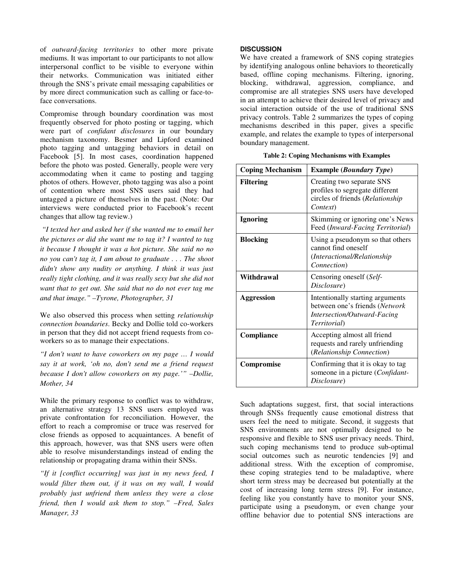of *outward-facing territories* to other more private mediums. It was important to our participants to not allow interpersonal conflict to be visible to everyone within their networks. Communication was initiated either through the SNS's private email messaging capabilities or by more direct communication such as calling or face-toface conversations.

Compromise through boundary coordination was most frequently observed for photo posting or tagging, which were part of *confidant disclosures* in our boundary mechanism taxonomy. Besmer and Lipford examined photo tagging and untagging behaviors in detail on Facebook [5]. In most cases, coordination happened before the photo was posted. Generally, people were very accommodating when it came to posting and tagging photos of others. However, photo tagging was also a point of contention where most SNS users said they had untagged a picture of themselves in the past. (Note: Our interviews were conducted prior to Facebook's recent changes that allow tag review.)

 *"I texted her and asked her if she wanted me to email her the pictures or did she want me to tag it? I wanted to tag it because I thought it was a hot picture. She said no no no you can't tag it, I am about to graduate . . . The shoot didn't show any nudity or anything. I think it was just really tight clothing, and it was really sexy but she did not want that to get out. She said that no do not ever tag me and that image." –Tyrone, Photographer, 31* 

We also observed this process when setting *relationship connection boundaries*. Becky and Dollie told co-workers in person that they did not accept friend requests from coworkers so as to manage their expectations.

*"I don't want to have coworkers on my page … I would say it at work, 'oh no, don't send me a friend request because I don't allow coworkers on my page.'" –Dollie, Mother, 34* 

While the primary response to conflict was to withdraw, an alternative strategy 13 SNS users employed was private confrontation for reconciliation. However, the effort to reach a compromise or truce was reserved for close friends as opposed to acquaintances. A benefit of this approach, however, was that SNS users were often able to resolve misunderstandings instead of ending the relationship or propagating drama within their SNSs.

*"If it [conflict occurring] was just in my news feed, I would filter them out, if it was on my wall, I would probably just unfriend them unless they were a close friend, then I would ask them to stop." –Fred, Sales Manager, 33* 

## **DISCUSSION**

We have created a framework of SNS coping strategies by identifying analogous online behaviors to theoretically based, offline coping mechanisms. Filtering, ignoring, blocking, withdrawal, aggression, compliance, and compromise are all strategies SNS users have developed in an attempt to achieve their desired level of privacy and social interaction outside of the use of traditional SNS privacy controls. Table 2 summarizes the types of coping mechanisms described in this paper, gives a specific example, and relates the example to types of interpersonal boundary management.

|  |  | <b>Table 2: Coping Mechanisms with Examples</b> |  |  |
|--|--|-------------------------------------------------|--|--|
|--|--|-------------------------------------------------|--|--|

| <b>Coping Mechanism</b> | <b>Example (Boundary Type)</b>                                                                                    |  |  |
|-------------------------|-------------------------------------------------------------------------------------------------------------------|--|--|
| <b>Filtering</b>        | Creating two separate SNS<br>profiles to segregate different<br>circles of friends (Relationship<br>Context)      |  |  |
| <b>Ignoring</b>         | Skimming or ignoring one's News<br>Feed (Inward-Facing Territorial)                                               |  |  |
| <b>Blocking</b>         | Using a pseudonym so that others<br>cannot find oneself<br>(Interactional/Relationship<br>Connection)             |  |  |
| Withdrawal              | Censoring oneself (Self-<br>Disclosure)                                                                           |  |  |
| <b>Aggression</b>       | Intentionally starting arguments<br>between one's friends (Network<br>Intersection/Outward-Facing<br>Territorial) |  |  |
| Compliance              | Accepting almost all friend<br>requests and rarely unfriending<br>(Relationship Connection)                       |  |  |
| Compromise              | Confirming that it is okay to tag<br>someone in a picture ( <i>Confidant</i> -<br>Disclosure)                     |  |  |

Such adaptations suggest, first, that social interactions through SNSs frequently cause emotional distress that users feel the need to mitigate. Second, it suggests that SNS environments are not optimally designed to be responsive and flexible to SNS user privacy needs. Third, such coping mechanisms tend to produce sub-optimal social outcomes such as neurotic tendencies [9] and additional stress. With the exception of compromise, these coping strategies tend to be maladaptive, where short term stress may be decreased but potentially at the cost of increasing long term stress [9]. For instance, feeling like you constantly have to monitor your SNS, participate using a pseudonym, or even change your offline behavior due to potential SNS interactions are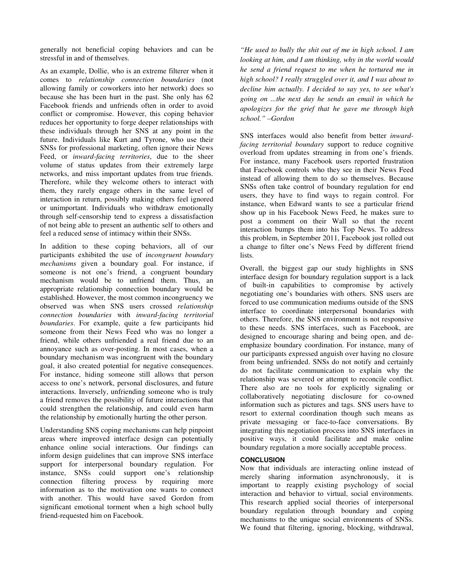generally not beneficial coping behaviors and can be stressful in and of themselves.

As an example, Dollie, who is an extreme filterer when it comes to *relationship connection boundaries* (not allowing family or coworkers into her network) does so because she has been hurt in the past. She only has 62 Facebook friends and unfriends often in order to avoid conflict or compromise. However, this coping behavior reduces her opportunity to forge deeper relationships with these individuals through her SNS at any point in the future. Individuals like Kurt and Tyrone, who use their SNSs for professional marketing, often ignore their News Feed, or *inward-facing territories*, due to the sheer volume of status updates from their extremely large networks, and miss important updates from true friends. Therefore, while they welcome others to interact with them, they rarely engage others in the same level of interaction in return, possibly making others feel ignored or unimportant. Individuals who withdraw emotionally through self-censorship tend to express a dissatisfaction of not being able to present an authentic self to others and feel a reduced sense of intimacy within their SNSs.

In addition to these coping behaviors, all of our participants exhibited the use of *incongruent boundary mechanisms* given a boundary goal. For instance, if someone is not one's friend, a congruent boundary mechanism would be to unfriend them. Thus, an appropriate relationship connection boundary would be established. However, the most common incongruency we observed was when SNS users crossed *relationship connection boundaries* with *inward-facing territorial boundaries*. For example, quite a few participants hid someone from their News Feed who was no longer a friend, while others unfriended a real friend due to an annoyance such as over-posting. In most cases, when a boundary mechanism was incongruent with the boundary goal, it also created potential for negative consequences. For instance, hiding someone still allows that person access to one's network, personal disclosures, and future interactions. Inversely, unfriending someone who is truly a friend removes the possibility of future interactions that could strengthen the relationship, and could even harm the relationship by emotionally hurting the other person.

Understanding SNS coping mechanisms can help pinpoint areas where improved interface design can potentially enhance online social interactions. Our findings can inform design guidelines that can improve SNS interface support for interpersonal boundary regulation. For instance, SNSs could support one's relationship connection filtering process by requiring more information as to the motivation one wants to connect with another. This would have saved Gordon from significant emotional torment when a high school bully friend-requested him on Facebook.

*"He used to bully the shit out of me in high school. I am looking at him, and I am thinking, why in the world would he send a friend request to me when he tortured me in high school? I really struggled over it, and I was about to decline him actually. I decided to say yes, to see what's going on ...the next day he sends an email in which he apologizes for the grief that he gave me through high school." –Gordon* 

SNS interfaces would also benefit from better *inwardfacing territorial boundary* support to reduce cognitive overload from updates streaming in from one's friends. For instance, many Facebook users reported frustration that Facebook controls who they see in their News Feed instead of allowing them to do so themselves. Because SNSs often take control of boundary regulation for end users, they have to find ways to regain control. For instance, when Edward wants to see a particular friend show up in his Facebook News Feed, he makes sure to post a comment on their Wall so that the recent interaction bumps them into his Top News. To address this problem, in September 2011, Facebook just rolled out a change to filter one's News Feed by different friend lists.

Overall, the biggest gap our study highlights in SNS interface design for boundary regulation support is a lack of built-in capabilities to compromise by actively negotiating one's boundaries with others. SNS users are forced to use communication mediums outside of the SNS interface to coordinate interpersonal boundaries with others. Therefore, the SNS environment is not responsive to these needs. SNS interfaces, such as Facebook, are designed to encourage sharing and being open, and deemphasize boundary coordination. For instance, many of our participants expressed anguish over having no closure from being unfriended. SNSs do not notify and certainly do not facilitate communication to explain why the relationship was severed or attempt to reconcile conflict. There also are no tools for explicitly signaling or collaboratively negotiating disclosure for co-owned information such as pictures and tags. SNS users have to resort to external coordination though such means as private messaging or face-to-face conversations. By integrating this negotiation process into SNS interfaces in positive ways, it could facilitate and make online boundary regulation a more socially acceptable process.

## **CONCLUSION**

Now that individuals are interacting online instead of merely sharing information asynchronously, it is important to reapply existing psychology of social interaction and behavior to virtual, social environments. This research applied social theories of interpersonal boundary regulation through boundary and coping mechanisms to the unique social environments of SNSs. We found that filtering, ignoring, blocking, withdrawal,